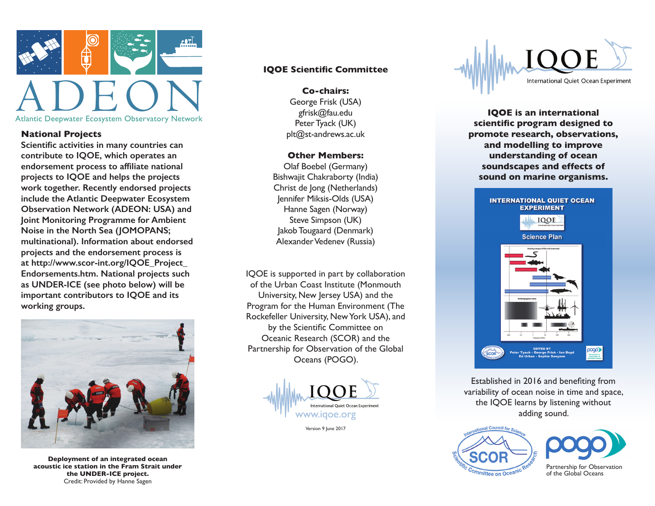

### **National Projects**

**Scientific activities in many countries can contribute to IQOE, which operates an endorsement process to affiliate national projects to IQOE and helps the projects work together. Recently endorsed projects include the Atlantic Deepwater Ecosystem Observation Network (ADEON: USA) and Joint Monitoring Programme for Ambient Noise in the North Sea (JOMOPANS; multinational). Information about endorsed projects and the endorsement process is at http://www.scor-int.org/IQOE\_Project\_ Endorsements.htm. National projects such as UNDER-ICE (see photo below) will be important contributors to IQOE and its working groups.**



**Deployment of an integrated ocean acoustic ice station in the Fram Strait under the UNDER-ICE project.** Credit: Provided by Hanne Sagen

#### **IQOE Scientific Committee**

**Co-chairs:**  George Frisk (USA) gfrisk@fau.edu Peter Tyack (UK) plt@st-andrews.ac.uk

#### **Other Members:**

Olaf Boebel (Germany) Bishwajit Chakraborty (India) Christ de Jong (Netherlands) Jennifer Miksis-Olds (USA) Hanne Sagen (Norway) Steve Simpson (UK) Jakob Tougaard (Denmark) Alexander Vedenev (Russia)

IQOE is supported in part by collaboration of the Urban Coast Institute (Monmouth University, New Jersey USA) and the Program for the Human Environment (The Rockefeller University, New York USA), and by the Scientific Committee on Oceanic Research (SCOR) and the Partnership for Observation of the Global Oceans (POGO).



Version 9 June 2017



**IQOE is an international scientific program designed to promote research, observations, and modelling to improve understanding of ocean soundscapes and effects of sound on marine organisms.**



Established in 2016 and benefiting from variability of ocean noise in time and space, the IQOE learns by listening without adding sound.



Partnership for Observation